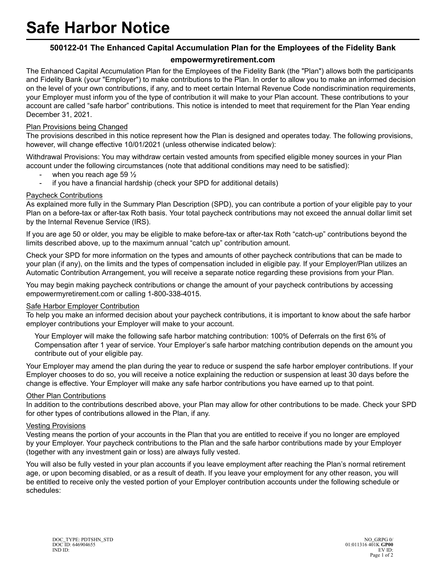# **500122-01 The Enhanced Capital Accumulation Plan for the Employees of the Fidelity Bank**

# **empowermyretirement.com**

The Enhanced Capital Accumulation Plan for the Employees of the Fidelity Bank (the "Plan") allows both the participants and Fidelity Bank (your "Employer") to make contributions to the Plan. In order to allow you to make an informed decision on the level of your own contributions, if any, and to meet certain Internal Revenue Code nondiscrimination requirements, your Employer must inform you of the type of contribution it will make to your Plan account. These contributions to your account are called "safe harbor" contributions. This notice is intended to meet that requirement for the Plan Year ending December 31, 2021.

## Plan Provisions being Changed

The provisions described in this notice represent how the Plan is designed and operates today. The following provisions, however, will change effective 10/01/2021 (unless otherwise indicated below):

Withdrawal Provisions: You may withdraw certain vested amounts from specified eligible money sources in your Plan account under the following circumstances (note that additional conditions may need to be satisfied):

- when you reach age 59  $\frac{1}{2}$
- if you have a financial hardship (check your SPD for additional details)

### Paycheck Contributions

As explained more fully in the Summary Plan Description (SPD), you can contribute a portion of your eligible pay to your Plan on a before-tax or after-tax Roth basis. Your total paycheck contributions may not exceed the annual dollar limit set by the Internal Revenue Service (IRS).

If you are age 50 or older, you may be eligible to make before-tax or after-tax Roth "catch-up" contributions beyond the limits described above, up to the maximum annual "catch up" contribution amount.

Check your SPD for more information on the types and amounts of other paycheck contributions that can be made to your plan (if any), on the limits and the types of compensation included in eligible pay. If your Employer/Plan utilizes an Automatic Contribution Arrangement, you will receive a separate notice regarding these provisions from your Plan.

You may begin making paycheck contributions or change the amount of your paycheck contributions by accessing empowermyretirement.com or calling 1-800-338-4015.

#### Safe Harbor Employer Contribution

To help you make an informed decision about your paycheck contributions, it is important to know about the safe harbor employer contributions your Employer will make to your account.

Your Employer will make the following safe harbor matching contribution: 100% of Deferrals on the first 6% of Compensation after 1 year of service. Your Employer's safe harbor matching contribution depends on the amount you contribute out of your eligible pay.

Your Employer may amend the plan during the year to reduce or suspend the safe harbor employer contributions. If your Employer chooses to do so, you will receive a notice explaining the reduction or suspension at least 30 days before the change is effective. Your Employer will make any safe harbor contributions you have earned up to that point.

#### Other Plan Contributions

In addition to the contributions described above, your Plan may allow for other contributions to be made. Check your SPD for other types of contributions allowed in the Plan, if any.

#### Vesting Provisions

Vesting means the portion of your accounts in the Plan that you are entitled to receive if you no longer are employed by your Employer. Your paycheck contributions to the Plan and the safe harbor contributions made by your Employer (together with any investment gain or loss) are always fully vested.

You will also be fully vested in your plan accounts if you leave employment after reaching the Plan's normal retirement age, or upon becoming disabled, or as a result of death. If you leave your employment for any other reason, you will be entitled to receive only the vested portion of your Employer contribution accounts under the following schedule or schedules: